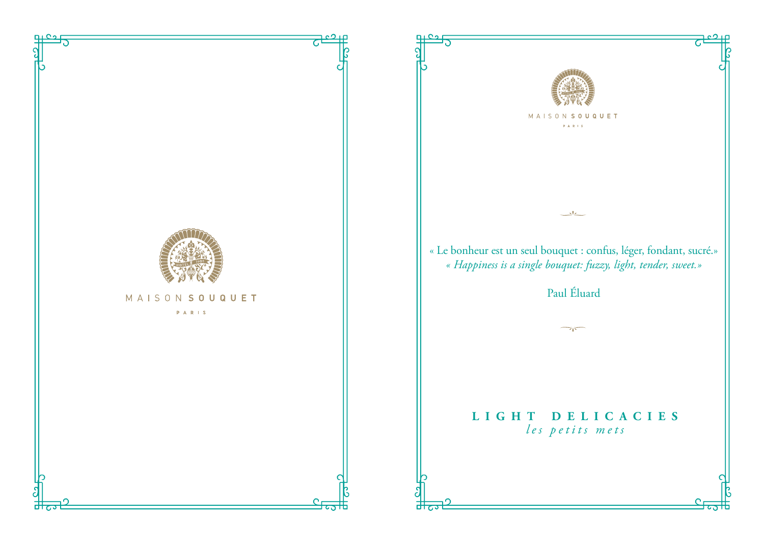